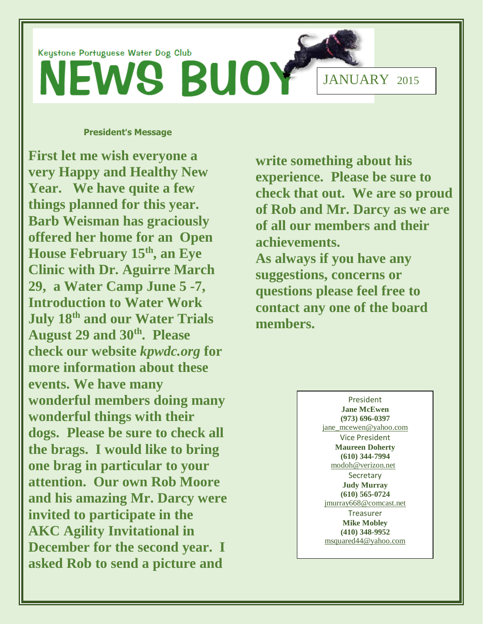

#### **President**'**s Message**

**First let me wish everyone a very Happy and Healthy New Year. We have quite a few things planned for this year. Barb Weisman has graciously offered her home for an Open House February 15th , an Eye Clinic with Dr. Aguirre March 29, a Water Camp June 5 -7, Introduction to Water Work July 18th and our Water Trials August 29 and 30th. Please check our website** *kpwdc.org* **for more information about these events. We have many wonderful members doing many wonderful things with their dogs. Please be sure to check all the brags. I would like to bring one brag in particular to your attention. Our own Rob Moore and his amazing Mr. Darcy were invited to participate in the AKC Agility Invitational in December for the second year. I asked Rob to send a picture and** 

**write something about his experience. Please be sure to check that out. We are so proud of Rob and Mr. Darcy as we are of all our members and their achievements. As always if you have any suggestions, concerns or questions please feel free to contact any one of the board members.**

> President **Jane McEwen (973) 696-0397** [jane\\_mcewen@yahoo.com](mailto:jane_mcewen@yahoo.com) Vice President **Maureen Doherty (610) 344-7994** [modoh@verizon.net](mailto:modoh@verizon.net)  Secretary **Judy Murray (610) 565-0724** [jmurray668@comcast.net](mailto:jmurray668@comcast.net) Treasurer **Mike Mobley (410) 348-9952** [msquared44@yahoo.com](mailto:msquared44@yahoo.com)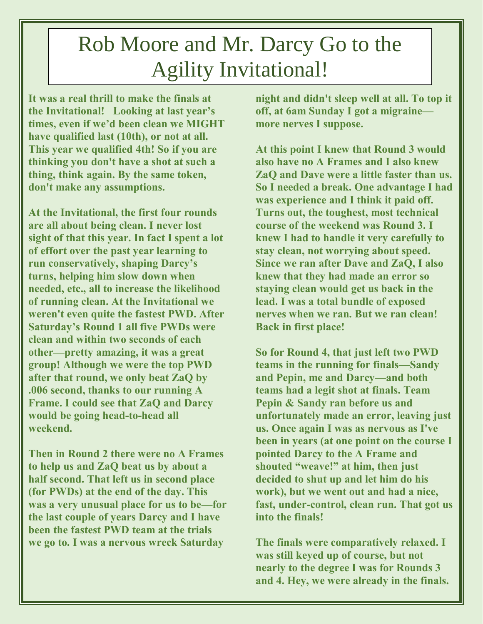# Rob Moore and Mr. Darcy Go to the Agility Invitational!

**It was a real thrill to make the finals at the Invitational! Looking at last year's times, even if we'd been clean we MIGHT have qualified last (10th), or not at all. This year we qualified 4th! So if you are thinking you don't have a shot at such a thing, think again. By the same token, don't make any assumptions.**

**At the Invitational, the first four rounds are all about being clean. I never lost sight of that this year. In fact I spent a lot of effort over the past year learning to run conservatively, shaping Darcy's turns, helping him slow down when needed, etc., all to increase the likelihood of running clean. At the Invitational we weren't even quite the fastest PWD. After Saturday's Round 1 all five PWDs were clean and within two seconds of each other—pretty amazing, it was a great group! Although we were the top PWD after that round, we only beat ZaQ by .006 second, thanks to our running A Frame. I could see that ZaQ and Darcy would be going head-to-head all weekend.**

**Then in Round 2 there were no A Frames to help us and ZaQ beat us by about a half second. That left us in second place (for PWDs) at the end of the day. This was a very unusual place for us to be—for the last couple of years Darcy and I have been the fastest PWD team at the trials we go to. I was a nervous wreck Saturday** 

**night and didn't sleep well at all. To top it off, at 6am Sunday I got a migraine more nerves I suppose.**

**At this point I knew that Round 3 would also have no A Frames and I also knew ZaQ and Dave were a little faster than us. So I needed a break. One advantage I had was experience and I think it paid off. Turns out, the toughest, most technical course of the weekend was Round 3. I knew I had to handle it very carefully to stay clean, not worrying about speed. Since we ran after Dave and ZaQ, I also knew that they had made an error so staying clean would get us back in the lead. I was a total bundle of exposed nerves when we ran. But we ran clean! Back in first place!**

**So for Round 4, that just left two PWD teams in the running for finals—Sandy and Pepin, me and Darcy—and both teams had a legit shot at finals. Team Pepin & Sandy ran before us and unfortunately made an error, leaving just us. Once again I was as nervous as I've been in years (at one point on the course I pointed Darcy to the A Frame and shouted "weave!" at him, then just decided to shut up and let him do his work), but we went out and had a nice, fast, under-control, clean run. That got us into the finals!**

**The finals were comparatively relaxed. I was still keyed up of course, but not nearly to the degree I was for Rounds 3 and 4. Hey, we were already in the finals.**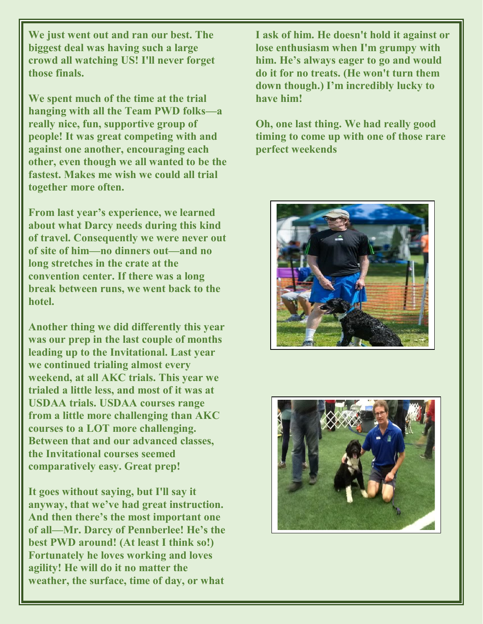**We just went out and ran our best. The biggest deal was having such a large crowd all watching US! I'll never forget those finals.**

**We spent much of the time at the trial hanging with all the Team PWD folks—a really nice, fun, supportive group of people! It was great competing with and against one another, encouraging each other, even though we all wanted to be the fastest. Makes me wish we could all trial together more often.**

**From last year's experience, we learned about what Darcy needs during this kind of travel. Consequently we were never out of site of him—no dinners out—and no long stretches in the crate at the convention center. If there was a long break between runs, we went back to the hotel.**

**Another thing we did differently this year was our prep in the last couple of months leading up to the Invitational. Last year we continued trialing almost every weekend, at all AKC trials. This year we trialed a little less, and most of it was at USDAA trials. USDAA courses range from a little more challenging than AKC courses to a LOT more challenging. Between that and our advanced classes, the Invitational courses seemed comparatively easy. Great prep!**

**It goes without saying, but I'll say it anyway, that we've had great instruction. And then there's the most important one of all—Mr. Darcy of Pennberlee! He's the best PWD around! (At least I think so!) Fortunately he loves working and loves agility! He will do it no matter the weather, the surface, time of day, or what** 

**I ask of him. He doesn't hold it against or lose enthusiasm when I'm grumpy with him. He's always eager to go and would do it for no treats. (He won't turn them down though.) I'm incredibly lucky to have him!**

**Oh, one last thing. We had really good timing to come up with one of those rare perfect weekends**



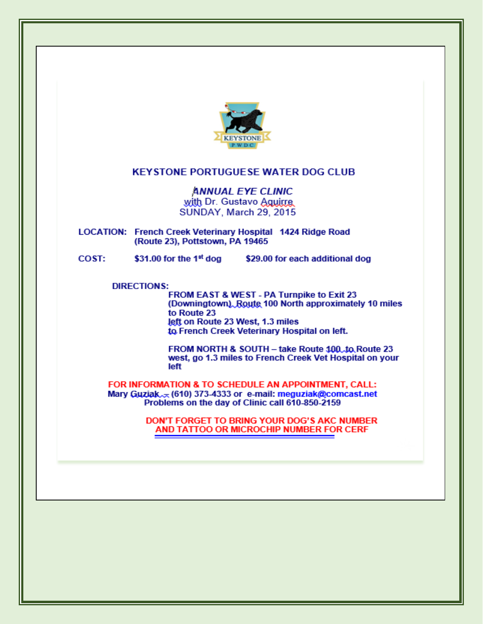

#### **KEYSTONE PORTUGUESE WATER DOG CLUB**

**ANNUAL EYE CLINIC** with Dr. Gustavo Aguitre SUNDAY, March 29, 2015

LOCATION: French Creek Veterinary Hospital 1424 Ridge Road (Route 23), Pottstown, PA 19465

\$31.00 for the 1 $\mathrm{^{st}}$  dog COST: \$29.00 for each additional dog

**DIRECTIONS:** 

FROM EAST & WEST - PA Turnpike to Exit 23 (Downingtown) Route 100 North approximately 10 miles to Route 23 left on Route 23 West, 1.3 miles to French Creek Veterinary Hospital on left.

FROM NORTH & SOUTH - take Route 100, to Route 23 west, go 1.3 miles to French Creek Vet Hospital on your left

FOR INFORMATION & TO SCHEDULE AN APPOINTMENT, CALL: Mary Guziak<sub>A</sub> (610) 373-4333 or e-mail: meguziak@comcast.net Problems on the day of Clinic call 610-850-2159

> DON'T FORGET TO BRING YOUR DOG'S AKC NUMBER AND TATTOO OR MICROCHIP NUMBER FOR CERF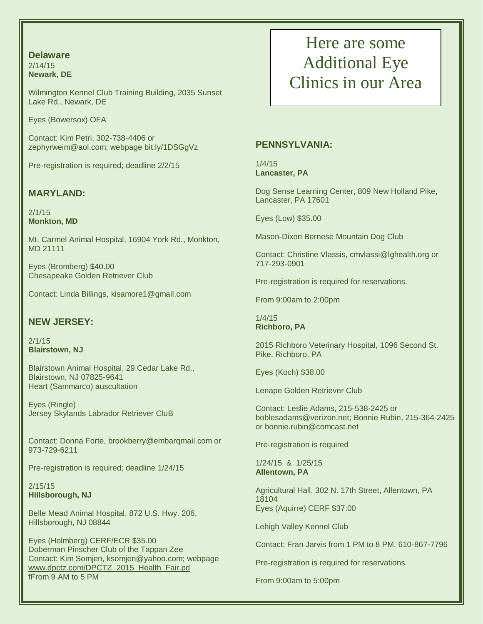#### **Delaware** 2/14/15 **Newark, DE**

Wilmington Kennel Club Training Building, 2035 Sunset Lake Rd., Newark, DE

Eyes (Bowersox) OFA

Contact: Kim Petri, 302-738‐4406 or zephyrweim@aol.com; webpage bit.ly/1DSGgVz

Pre-registration is required; deadline 2/2/15

### **MARYLAND:**

2/1/15 **Monkton, MD**

Mt. Carmel Animal Hospital, 16904 York Rd., Monkton, MD 21111

Eyes (Bromberg) \$40.00 Chesapeake Golden Retriever Club

Contact: Linda Billings, [kisamore1@gmail.com](mailto:kisamore1@gmail.com)

### **NEW JERSEY:**

2/1/15 **Blairstown, NJ**

Blairstown Animal Hospital, 29 Cedar Lake Rd., Blairstown, NJ 07825-9641 Heart (Sammarco) auscultation

Eyes (Ringle) Jersey Skylands Labrador Retriever CluB

Contact: Donna Forte, brookberry@embarqmail.com or 973-729-6211

Pre-registration is required; deadline 1/24/15

2/15/15 **Hillsborough, NJ**

Belle Mead Animal Hospital, 872 U.S. Hwy. 206, Hillsborough, NJ 08844

Eyes (Holmberg) CERF/ECR \$35.00 Doberman Pinscher Club of the Tappan Zee Contact: Kim Somjen, ksomjen@yahoo.com; webpage [www.dpctz.com/DPCTZ\\_2015\\_Health\\_Fair.pd](http://www.dpctz.com/DPCTZ_2015_Health_Fair.pd) fFrom 9 AM to 5 PM

### Here are some Additional Eye Clinics in our Area

#### **PENNSYLVANIA:**

1/4/15 **Lancaster, PA**

Dog Sense Learning Center, 809 New Holland Pike, Lancaster, PA 17601

Eyes (Low) \$35.00

Mason-Dixon Bernese Mountain Dog Club

Contact: Christine Vlassis, cmvlassi@lghealth.org or 717-293-0901

Pre-registration is required for reservations.

From 9:00am to 2:00pm

1/4/15 **Richboro, PA**

2015 Richboro Veterinary Hospital, 1096 Second St. Pike, Richboro, PA

Eyes (Koch) \$38.00

Lenape Golden Retriever Club

Contact: Leslie Adams, 215-538-2425 or boblesadams@verizon.net; Bonnie Rubin, 215-364-2425 or bonnie.rubin@comcast.net

Pre-registration is required

1/24/15 & 1/25/15 **Allentown, PA**

Agricultural Hall, 302 N. 17th Street, Allentown, PA 18104 Eyes (Aquirre) CERF \$37.00

Lehigh Valley Kennel Club

Contact: Fran Jarvis from 1 PM to 8 PM, 610-867-7796

Pre-registration is required for reservations.

From 9:00am to 5:00pm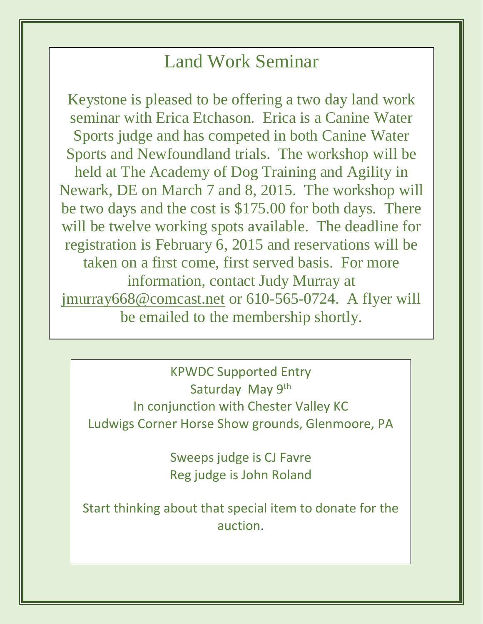## Land Work Seminar

Keystone is pleased to be offering a two day land work seminar with Erica Etchason. Erica is a Canine Water Sports judge and has competed in both Canine Water Sports and Newfoundland trials. The workshop will be held at The Academy of Dog Training and Agility in Newark, DE on March 7 and 8, 2015. The workshop will be two days and the cost is \$175.00 for both days. There will be twelve working spots available. The deadline for registration is February 6, 2015 and reservations will be taken on a first come, first served basis. For more information, contact Judy Murray at [jmurray668@comcast.net](mailto:jmurray668@comcast.net) or 610-565-0724. A flyer will be emailed to the membership shortly.

KPWDC Supported Entry Saturday May 9<sup>th</sup> In conjunction with Chester Valley KC Ludwigs Corner Horse Show grounds, Glenmoore, PA

> Sweeps judge is CJ Favre Reg judge is John Roland

Start thinking about that special item to donate for the auction.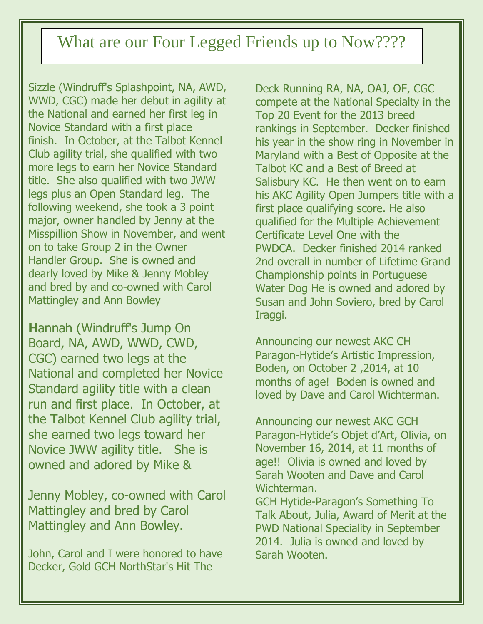# What are our Four Legged Friends up to Now????

Sizzle (Windruff's Splashpoint, NA, AWD, WWD, CGC) made her debut in agility at the National and earned her first leg in Novice Standard with a first place finish. In October, at the Talbot Kennel Club agility trial, she qualified with two more legs to earn her Novice Standard title. She also qualified with two JWW legs plus an Open Standard leg. The following weekend, she took a 3 point major, owner handled by Jenny at the Misspillion Show in November, and went on to take Group 2 in the Owner Handler Group. She is owned and dearly loved by Mike & Jenny Mobley and bred by and co-owned with Carol Mattingley and Ann Bowley

**H**annah (Windruff's Jump On Board, NA, AWD, WWD, CWD, CGC) earned two legs at the National and completed her Novice Standard agility title with a clean run and first place. In October, at the Talbot Kennel Club agility trial, she earned two legs toward her Novice JWW agility title. She is owned and adored by Mike &

Jenny Mobley, co-owned with Carol Mattingley and bred by Carol Mattingley and Ann Bowley.

John, Carol and I were honored to have Decker, Gold GCH NorthStar's Hit The

Deck Running RA, NA, OAJ, OF, CGC compete at the National Specialty in the Top 20 Event for the 2013 breed rankings in September. Decker finished his year in the show ring in November in Maryland with a Best of Opposite at the Talbot KC and a Best of Breed at Salisbury KC. He then went on to earn his AKC Agility Open Jumpers title with a first place qualifying score. He also qualified for the Multiple Achievement Certificate Level One with the PWDCA. Decker finished 2014 ranked 2nd overall in number of Lifetime Grand Championship points in Portuguese Water Dog He is owned and adored by Susan and John Soviero, bred by Carol Iraggi.

Announcing our newest AKC CH Paragon-Hytide's Artistic Impression, Boden, on October 2 ,2014, at 10 months of age! Boden is owned and loved by Dave and Carol Wichterman.

Announcing our newest AKC GCH Paragon-Hytide's Objet d'Art, Olivia, on November 16, 2014, at 11 months of age!! Olivia is owned and loved by Sarah Wooten and Dave and Carol Wichterman.

GCH Hytide-Paragon's Something To Talk About, Julia, Award of Merit at the PWD National Speciality in September 2014. Julia is owned and loved by Sarah Wooten.